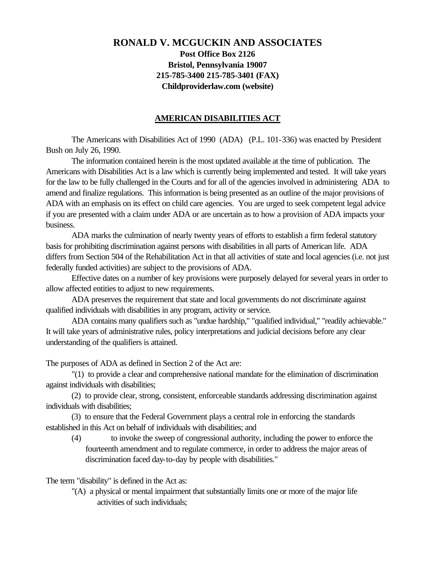# **RONALD V. MCGUCKIN AND ASSOCIATES Post Office Box 2126 Bristol, Pennsylvania 19007 215-785-3400 215-785-3401 (FAX) Childproviderlaw.com (website)**

#### **AMERICAN DISABILITIES ACT**

The Americans with Disabilities Act of 1990 (ADA) (P.L. 101-336) was enacted by President Bush on July 26, 1990.

The information contained herein is the most updated available at the time of publication. The Americans with Disabilities Act is a law which is currently being implemented and tested. It will take years for the law to be fully challenged in the Courts and for all of the agencies involved in administering ADA to amend and finalize regulations. This information is being presented as an outline of the major provisions of ADA with an emphasis on its effect on child care agencies. You are urged to seek competent legal advice if you are presented with a claim under ADA or are uncertain as to how a provision of ADA impacts your business.

ADA marks the culmination of nearly twenty years of efforts to establish a firm federal statutory basis for prohibiting discrimination against persons with disabilities in all parts of American life. ADA differs from Section 504 of the Rehabilitation Act in that all activities of state and local agencies (i.e. not just federally funded activities) are subject to the provisions of ADA.

Effective dates on a number of key provisions were purposely delayed for several years in order to allow affected entities to adjust to new requirements.

ADA preserves the requirement that state and local governments do not discriminate against qualified individuals with disabilities in any program, activity or service.

ADA contains many qualifiers such as "undue hardship," "qualified individual," "readily achievable." It will take years of administrative rules, policy interpretations and judicial decisions before any clear understanding of the qualifiers is attained.

The purposes of ADA as defined in Section 2 of the Act are:

"(1) to provide a clear and comprehensive national mandate for the elimination of discrimination against individuals with disabilities;

(2) to provide clear, strong, consistent, enforceable standards addressing discrimination against individuals with disabilities;

(3) to ensure that the Federal Government plays a central role in enforcing the standards established in this Act on behalf of individuals with disabilities; and

(4) to invoke the sweep of congressional authority, including the power to enforce the fourteenth amendment and to regulate commerce, in order to address the major areas of discrimination faced day-to-day by people with disabilities."

The term "disability" is defined in the Act as:

"(A) a physical or mental impairment that substantially limits one or more of the major life activities of such individuals;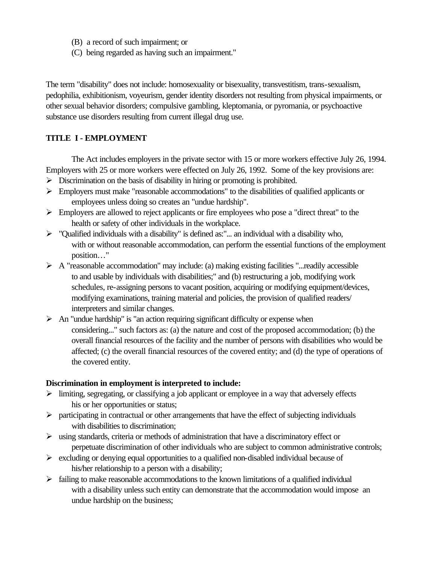- (B) a record of such impairment; or
- (C) being regarded as having such an impairment."

The term "disability" does not include: homosexuality or bisexuality, transvestitism, trans-sexualism, pedophilia, exhibitionism, voyeurism, gender identity disorders not resulting from physical impairments, or other sexual behavior disorders; compulsive gambling, kleptomania, or pyromania, or psychoactive substance use disorders resulting from current illegal drug use.

## **TITLE I - EMPLOYMENT**

The Act includes employers in the private sector with 15 or more workers effective July 26, 1994. Employers with 25 or more workers were effected on July 26, 1992. Some of the key provisions are:

- $\triangleright$  Discrimination on the basis of disability in hiring or promoting is prohibited.
- $\triangleright$  Employers must make "reasonable accommodations" to the disabilities of qualified applicants or employees unless doing so creates an "undue hardship".
- $\triangleright$  Employers are allowed to reject applicants or fire employees who pose a "direct threat" to the health or safety of other individuals in the workplace.
- $\triangleright$  "Qualified individuals with a disability" is defined as:"... an individual with a disability who, with or without reasonable accommodation, can perform the essential functions of the employment position…"
- $\triangleright$  A "reasonable accommodation" may include: (a) making existing facilities "...readily accessible to and usable by individuals with disabilities;" and (b) restructuring a job, modifying work schedules, re-assigning persons to vacant position, acquiring or modifying equipment/devices, modifying examinations, training material and policies, the provision of qualified readers/ interpreters and similar changes.
- $\triangleright$  An "undue hardship" is "an action requiring significant difficulty or expense when considering..." such factors as: (a) the nature and cost of the proposed accommodation; (b) the overall financial resources of the facility and the number of persons with disabilities who would be affected; (c) the overall financial resources of the covered entity; and (d) the type of operations of the covered entity.

### **Discrimination in employment is interpreted to include:**

- $\triangleright$  limiting, segregating, or classifying a job applicant or employee in a way that adversely effects his or her opportunities or status;
- $\triangleright$  participating in contractual or other arrangements that have the effect of subjecting individuals with disabilities to discrimination;
- $\triangleright$  using standards, criteria or methods of administration that have a discriminatory effect or perpetuate discrimination of other individuals who are subject to common administrative controls;
- $\triangleright$  excluding or denying equal opportunities to a qualified non-disabled individual because of his/her relationship to a person with a disability;
- $\triangleright$  failing to make reasonable accommodations to the known limitations of a qualified individual with a disability unless such entity can demonstrate that the accommodation would impose an undue hardship on the business;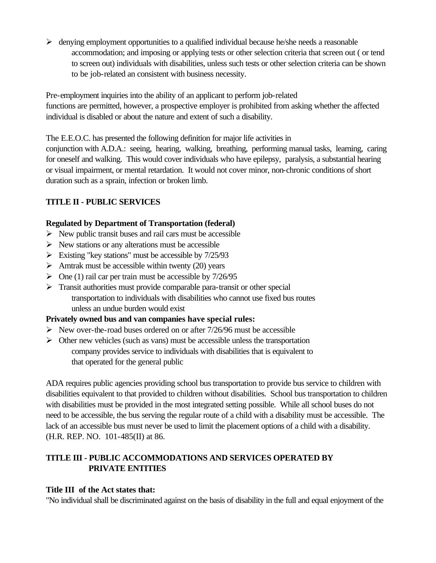$\triangleright$  denying employment opportunities to a qualified individual because he/she needs a reasonable accommodation; and imposing or applying tests or other selection criteria that screen out ( or tend to screen out) individuals with disabilities, unless such tests or other selection criteria can be shown to be job-related an consistent with business necessity.

Pre-employment inquiries into the ability of an applicant to perform job-related functions are permitted, however, a prospective employer is prohibited from asking whether the affected individual is disabled or about the nature and extent of such a disability.

The E.E.O.C. has presented the following definition for major life activities in conjunction with A.D.A.: seeing, hearing, walking, breathing, performing manual tasks, learning, caring for oneself and walking. This would cover individuals who have epilepsy, paralysis, a substantial hearing or visual impairment, or mental retardation. It would not cover minor, non-chronic conditions of short duration such as a sprain, infection or broken limb.

# **TITLE II - PUBLIC SERVICES**

## **Regulated by Department of Transportation (federal)**

- $\triangleright$  New public transit buses and rail cars must be accessible
- $\triangleright$  New stations or any alterations must be accessible
- $\triangleright$  Existing "key stations" must be accessible by 7/25/93
- $\triangleright$  Amtrak must be accessible within twenty (20) years
- $\triangleright$  One (1) rail car per train must be accessible by 7/26/95
- $\triangleright$  Transit authorities must provide comparable para-transit or other special transportation to individuals with disabilities who cannot use fixed bus routes unless an undue burden would exist

# **Privately owned bus and van companies have special rules:**

- $\triangleright$  New over-the-road buses ordered on or after 7/26/96 must be accessible
- $\triangleright$  Other new vehicles (such as vans) must be accessible unless the transportation company provides service to individuals with disabilities that is equivalent to that operated for the general public

ADA requires public agencies providing school bus transportation to provide bus service to children with disabilities equivalent to that provided to children without disabilities. School bus transportation to children with disabilities must be provided in the most integrated setting possible. While all school buses do not need to be accessible, the bus serving the regular route of a child with a disability must be accessible. The lack of an accessible bus must never be used to limit the placement options of a child with a disability. (H.R. REP. NO. 101-485(II) at 86.

# **TITLE III - PUBLIC ACCOMMODATIONS AND SERVICES OPERATED BY PRIVATE ENTITIES**

# **Title III of the Act states that:**

"No individual shall be discriminated against on the basis of disability in the full and equal enjoyment of the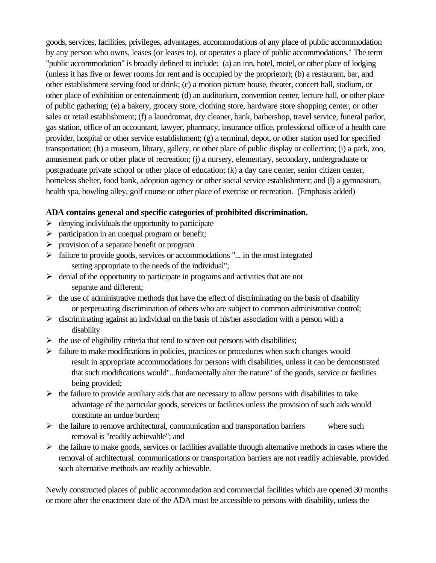goods, services, facilities, privileges, advantages, accommodations of any place of public accommodation by any person who owns, leases (or leases to). or operates a place of public accommodations." The term "public accommodation" is broadly defined to include: (a) an inn, hotel, motel, or other place of lodging (unless it has five or fewer rooms for rent and is occupied by the proprietor); (b) a restaurant, bar, and other establishment serving food or drink; (c) a motion picture house, theater, concert hall, stadium, or other place of exhibition or entertainment; (d) an auditorium, convention center, lecture hall, or other place of public gathering; (e) a bakery, grocery store, clothing store, hardware store shopping center, or other sales or retail establishment; (f) a laundromat, dry cleaner, bank, barbershop, travel service, funeral parlor, gas station, office of an accountant, lawyer, pharmacy, insurance office, professional office of a health care provider, hospital or other service establishment; (g) a terminal, depot, or other station used for specified transportation; (h) a museum, library, gallery, or other place of public display or collection; (i) a park, zoo, amusement park or other place of recreation; (j) a nursery, elementary, secondary, undergraduate or postgraduate private school or other place of education; (k) a day care center, senior citizen center, homeless shelter, food bank, adoption agency or other social service establishment; and (l) a gymnasium, health spa, bowling alley, golf course or other place of exercise or recreation. (Emphasis added)

## **ADA contains general and specific categories of prohibited discrimination.**

- $\triangleright$  denying individuals the opportunity to participate
- $\triangleright$  participation in an unequal program or benefit;
- $\triangleright$  provision of a separate benefit or program
- $\triangleright$  failure to provide goods, services or accommodations "... in the most integrated setting appropriate to the needs of the individual";
- $\triangleright$  denial of the opportunity to participate in programs and activities that are not separate and different;
- $\triangleright$  the use of administrative methods that have the effect of discriminating on the basis of disability or perpetuating discrimination of others who are subject to common administrative control;
- $\triangleright$  discriminating against an individual on the basis of his/her association with a person with a disability
- $\triangleright$  the use of eligibility criteria that tend to screen out persons with disabilities;
- $\triangleright$  failure to make modifications in policies, practices or procedures when such changes would result in appropriate accommodations for persons with disabilities, unless it can be demonstrated that such modifications would"...fundamentally alter the nature" of the goods, service or facilities being provided;
- $\triangleright$  the failure to provide auxiliary aids that are necessary to allow persons with disabilities to take advantage of the particular goods, services or facilities unless the provision of such aids would constitute an undue burden;
- $\triangleright$  the failure to remove architectural, communication and transportation barriers where such removal is "readily achievable"; and
- $\triangleright$  the failure to make goods, services or facilities available through alternative methods in cases where the removal of architectural. communications or transportation barriers are not readily achievable, provided such alternative methods are readily achievable.

Newly constructed places of public accommodation and commercial facilities which are opened 30 months or more after the enactment date of the ADA must be accessible to persons with disability, unless the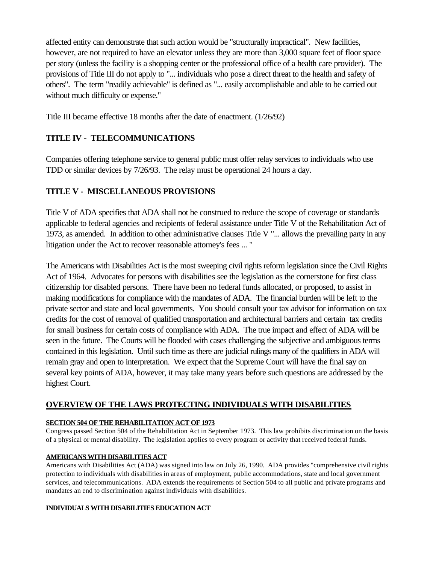affected entity can demonstrate that such action would be "structurally impractical". New facilities, however, are not required to have an elevator unless they are more than 3,000 square feet of floor space per story (unless the facility is a shopping center or the professional office of a health care provider). The provisions of Title III do not apply to "... individuals who pose a direct threat to the health and safety of others". The term "readily achievable" is defined as "... easily accomplishable and able to be carried out without much difficulty or expense."

Title III became effective 18 months after the date of enactment. (1/26/92)

# **TITLE IV - TELECOMMUNICATIONS**

Companies offering telephone service to general public must offer relay services to individuals who use TDD or similar devices by 7/26/93. The relay must be operational 24 hours a day.

# **TITLE V - MISCELLANEOUS PROVISIONS**

Title V of ADA specifies that ADA shall not be construed to reduce the scope of coverage or standards applicable to federal agencies and recipients of federal assistance under Title V of the Rehabilitation Act of 1973, as amended. In addition to other administrative clauses Title V "... allows the prevailing party in any litigation under the Act to recover reasonable attorney's fees ... "

The Americans with Disabilities Act is the most sweeping civil rights reform legislation since the Civil Rights Act of 1964. Advocates for persons with disabilities see the legislation as the cornerstone for first class citizenship for disabled persons. There have been no federal funds allocated, or proposed, to assist in making modifications for compliance with the mandates of ADA. The financial burden will be left to the private sector and state and local governments. You should consult your tax advisor for information on tax credits for the cost of removal of qualified transportation and architectural barriers and certain tax credits for small business for certain costs of compliance with ADA. The true impact and effect of ADA will be seen in the future. The Courts will be flooded with cases challenging the subjective and ambiguous terms contained in this legislation. Until such time as there are judicial rulings many of the qualifiers in ADA will remain gray and open to interpretation. We expect that the Supreme Court will have the final say on several key points of ADA, however, it may take many years before such questions are addressed by the highest Court.

## **OVERVIEW OF THE LAWS PROTECTING INDIVIDUALS WITH DISABILITIES**

### **SECTION 504 OF THE REHABILITATION ACT OF 1973**

Congress passed Section 504 of the Rehabilitation Act in September 1973. This law prohibits discrimination on the basis of a physical or mental disability. The legislation applies to every program or activity that received federal funds.

### **AMERICANS WITH DISABILITIES ACT**

Americans with Disabilities Act (ADA) was signed into law on July 26, 1990. ADA provides "comprehensive civil rights protection to individuals with disabilities in areas of employment, public accommodations, state and local government services, and telecommunications. ADA extends the requirements of Section 504 to all public and private programs and mandates an end to discrimination against individuals with disabilities.

### **INDIVIDUALS WITH DISABILITIES EDUCATION ACT**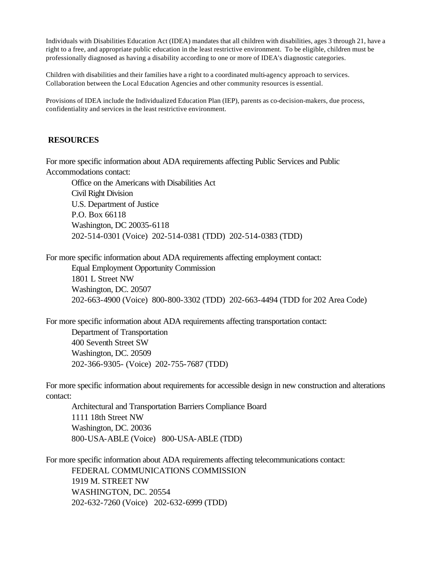Individuals with Disabilities Education Act (IDEA) mandates that all children with disabilities, ages 3 through 21, have a right to a free, and appropriate public education in the least restrictive environment. To be eligible, children must be professionally diagnosed as having a disability according to one or more of IDEA's diagnostic categories.

Children with disabilities and their families have a right to a coordinated multi-agency approach to services. Collaboration between the Local Education Agencies and other community resources is essential.

Provisions of IDEA include the Individualized Education Plan (IEP), parents as co-decision-makers, due process, confidentiality and services in the least restrictive environment.

#### **RESOURCES**

For more specific information about ADA requirements affecting Public Services and Public Accommodations contact:

Office on the Americans with Disabilities Act Civil Right Division U.S. Department of Justice P.O. Box 66118 Washington, DC 20035-6118 202-514-0301 (Voice) 202-514-0381 (TDD) 202-514-0383 (TDD)

For more specific information about ADA requirements affecting employment contact:

Equal Employment Opportunity Commission 1801 L Street NW Washington, DC. 20507 202-663-4900 (Voice) 800-800-3302 (TDD) 202-663-4494 (TDD for 202 Area Code)

For more specific information about ADA requirements affecting transportation contact: Department of Transportation 400 Seventh Street SW Washington, DC. 20509 202-366-9305- (Voice) 202-755-7687 (TDD)

For more specific information about requirements for accessible design in new construction and alterations contact:

Architectural and Transportation Barriers Compliance Board 1111 18th Street NW Washington, DC. 20036 800-USA-ABLE (Voice) 800-USA-ABLE (TDD)

For more specific information about ADA requirements affecting telecommunications contact: FEDERAL COMMUNICATIONS COMMISSION 1919 M. STREET NW WASHINGTON, DC. 20554 202-632-7260 (Voice) 202-632-6999 (TDD)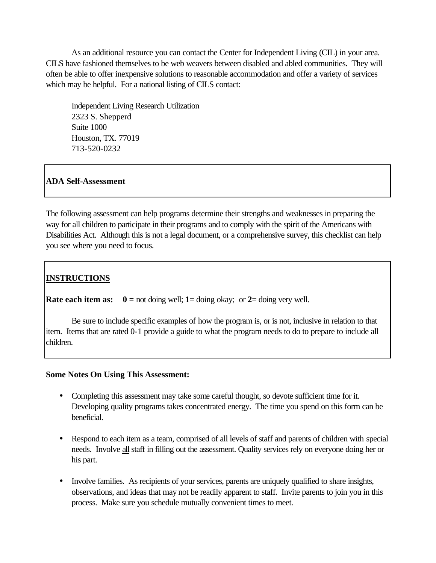As an additional resource you can contact the Center for Independent Living (CIL) in your area. CILS have fashioned themselves to be web weavers between disabled and abled communities. They will often be able to offer inexpensive solutions to reasonable accommodation and offer a variety of services which may be helpful. For a national listing of CILS contact:

Independent Living Research Utilization 2323 S. Shepperd Suite 1000 Houston, TX. 77019 713-520-0232

## **ADA Self-Assessment**

The following assessment can help programs determine their strengths and weaknesses in preparing the way for all children to participate in their programs and to comply with the spirit of the Americans with Disabilities Act. Although this is not a legal document, or a comprehensive survey, this checklist can help you see where you need to focus.

# **INSTRUCTIONS**

**Rate each item as:**  $0 = \text{not } \text{ doing well; } 1 = \text{doing } \text{ okay; or } 2 = \text{doing } \text{very well.}$ 

Be sure to include specific examples of how the program is, or is not, inclusive in relation to that item. Items that are rated 0-1 provide a guide to what the program needs to do to prepare to include all children.

### **Some Notes On Using This Assessment:**

- Completing this assessment may take some careful thought, so devote sufficient time for it. Developing quality programs takes concentrated energy. The time you spend on this form can be beneficial.
- Respond to each item as a team, comprised of all levels of staff and parents of children with special needs. Involve all staff in filling out the assessment. Quality services rely on everyone doing her or his part.
- Involve families. As recipients of your services, parents are uniquely qualified to share insights, observations, and ideas that may not be readily apparent to staff. Invite parents to join you in this process. Make sure you schedule mutually convenient times to meet.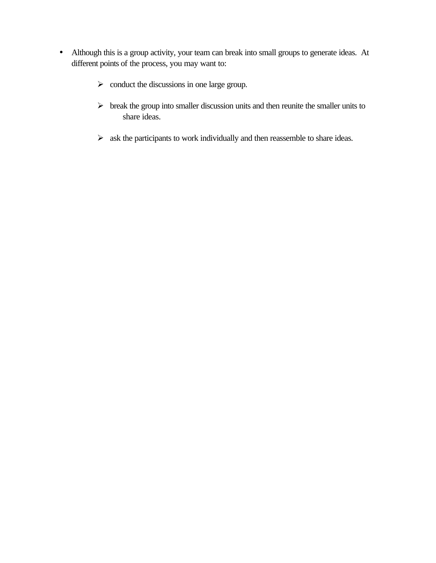- Although this is a group activity, your team can break into small groups to generate ideas. At different points of the process, you may want to:
	- $\triangleright$  conduct the discussions in one large group.
	- $\triangleright$  break the group into smaller discussion units and then reunite the smaller units to share ideas.
	- $\triangleright$  ask the participants to work individually and then reassemble to share ideas.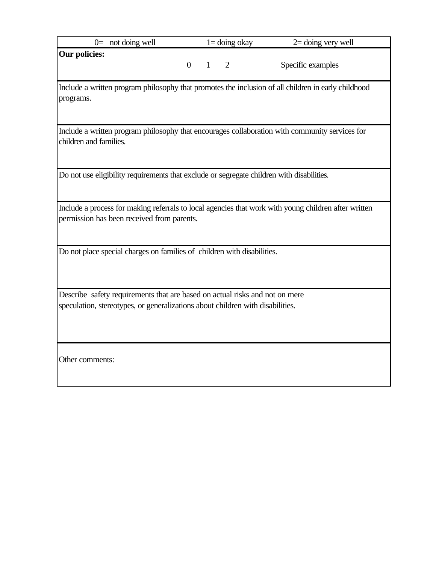| $0=$ not doing well |  | $1 =$ doing okay | $2=$ doing very well |
|---------------------|--|------------------|----------------------|
| Our policies:       |  |                  | Specific examples    |
|                     |  |                  |                      |

Include a written program philosophy that promotes the inclusion of all children in early childhood programs.

Include a written program philosophy that encourages collaboration with community services for children and families.

Do not use eligibility requirements that exclude or segregate children with disabilities.

Include a process for making referrals to local agencies that work with young children after written permission has been received from parents.

Do not place special charges on families of children with disabilities.

Describe safety requirements that are based on actual risks and not on mere speculation, stereotypes, or generalizations about children with disabilities.

Other comments: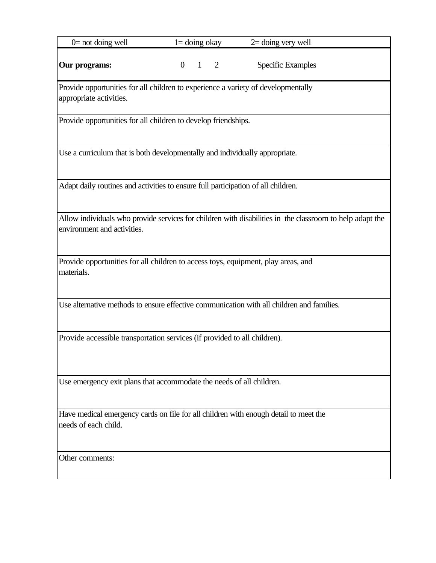| $0$ = not doing well                                                                                                                    | $1 =$ doing okay |  |             | $2 =$ doing very well    |  |  |
|-----------------------------------------------------------------------------------------------------------------------------------------|------------------|--|-------------|--------------------------|--|--|
| Our programs:                                                                                                                           | $\overline{0}$   |  | $1 \quad 2$ | <b>Specific Examples</b> |  |  |
| Provide opportunities for all children to experience a variety of developmentally<br>appropriate activities.                            |                  |  |             |                          |  |  |
| Provide opportunities for all children to develop friendships.                                                                          |                  |  |             |                          |  |  |
| Use a curriculum that is both developmentally and individually appropriate.                                                             |                  |  |             |                          |  |  |
| Adapt daily routines and activities to ensure full participation of all children.                                                       |                  |  |             |                          |  |  |
| Allow individuals who provide services for children with disabilities in the classroom to help adapt the<br>environment and activities. |                  |  |             |                          |  |  |
| Provide opportunities for all children to access toys, equipment, play areas, and<br>materials.                                         |                  |  |             |                          |  |  |
| Use alternative methods to ensure effective communication with all children and families.                                               |                  |  |             |                          |  |  |
| Provide accessible transportation services (if provided to all children).                                                               |                  |  |             |                          |  |  |
| Use emergency exit plans that accommodate the needs of all children.                                                                    |                  |  |             |                          |  |  |
| Have medical emergency cards on file for all children with enough detail to meet the<br>needs of each child.                            |                  |  |             |                          |  |  |
| Other comments:                                                                                                                         |                  |  |             |                          |  |  |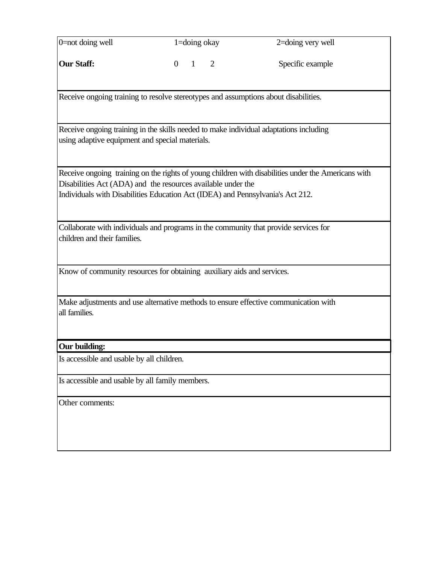| 0=not doing well                                | 1=doing okay                                                                                                                                   | 2=doing very well                                                                                   |
|-------------------------------------------------|------------------------------------------------------------------------------------------------------------------------------------------------|-----------------------------------------------------------------------------------------------------|
| <b>Our Staff:</b>                               | $\overline{1}$<br>2<br>$\overline{0}$                                                                                                          | Specific example                                                                                    |
|                                                 | Receive ongoing training to resolve stereotypes and assumptions about disabilities.                                                            |                                                                                                     |
| using adaptive equipment and special materials. | Receive ongoing training in the skills needed to make individual adaptations including                                                         |                                                                                                     |
|                                                 | Disabilities Act (ADA) and the resources available under the<br>Individuals with Disabilities Education Act (IDEA) and Pennsylvania's Act 212. | Receive ongoing training on the rights of young children with disabilities under the Americans with |
| children and their families.                    | Collaborate with individuals and programs in the community that provide services for                                                           |                                                                                                     |
|                                                 | Know of community resources for obtaining auxiliary aids and services.                                                                         |                                                                                                     |
| all families.                                   |                                                                                                                                                | Make adjustments and use alternative methods to ensure effective communication with                 |
| Our building:                                   |                                                                                                                                                |                                                                                                     |
| Is accessible and usable by all children.       |                                                                                                                                                |                                                                                                     |
| Is accessible and usable by all family members. |                                                                                                                                                |                                                                                                     |
| Other comments:                                 |                                                                                                                                                |                                                                                                     |
|                                                 |                                                                                                                                                |                                                                                                     |
|                                                 |                                                                                                                                                |                                                                                                     |